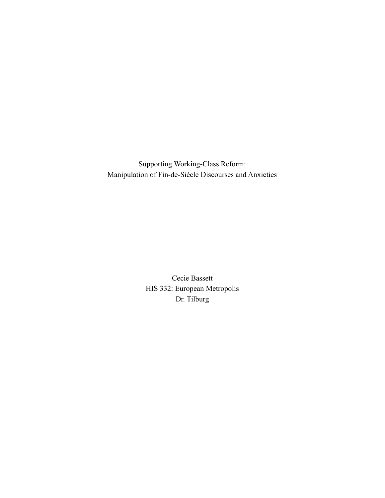Supporting Working-Class Reform: Manipulation of Fin-de-Siècle Discourses and Anxieties

> Cecie Bassett HIS 332: European Metropolis Dr. Tilburg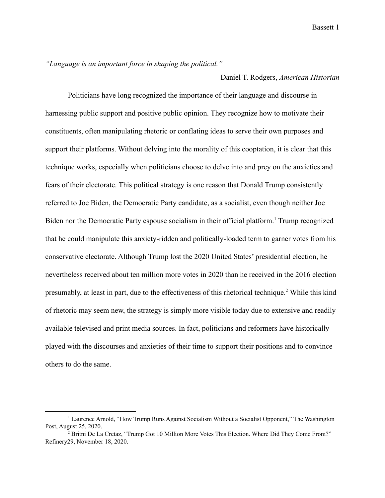*"Language is an important force in shaping the political."*

– Daniel T. Rodgers, *American Historian*

Politicians have long recognized the importance of their language and discourse in harnessing public support and positive public opinion. They recognize how to motivate their constituents, often manipulating rhetoric or conflating ideas to serve their own purposes and support their platforms. Without delving into the morality of this cooptation, it is clear that this technique works, especially when politicians choose to delve into and prey on the anxieties and fears of their electorate. This political strategy is one reason that Donald Trump consistently referred to Joe Biden, the Democratic Party candidate, as a socialist, even though neither Joe Biden nor the Democratic Party espouse socialism in their official platform.<sup>1</sup> Trump recognized that he could manipulate this anxiety-ridden and politically-loaded term to garner votes from his conservative electorate. Although Trump lost the 2020 United States' presidential election, he nevertheless received about ten million more votes in 2020 than he received in the 2016 election presumably, at least in part, due to the effectiveness of this rhetorical technique.<sup>2</sup> While this kind of rhetoric may seem new, the strategy is simply more visible today due to extensive and readily available televised and print media sources. In fact, politicians and reformers have historically played with the discourses and anxieties of their time to support their positions and to convince others to do the same.

<sup>1</sup> Laurence Arnold, "How Trump Runs Against Socialism Without a Socialist Opponent," The Washington Post, August 25, 2020.

<sup>&</sup>lt;sup>2</sup> Britni De La Cretaz, "Trump Got 10 Million More Votes This Election. Where Did They Come From?" Refinery29, November 18, 2020.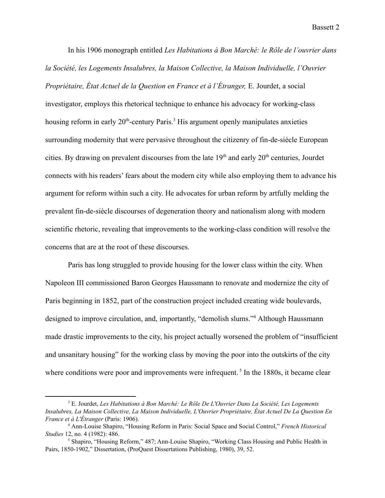In his 1906 monograph entitled *Les Habitations à Bon Marché: le Rôle de l'ouvrier dans la Société, les Logements Insalubres, la Maison Collective, la Maison Individuelle, l'Ouvrier Propriétaire, État Actuel de la Question en France et à l'Étranger,* E. Jourdet, a social investigator, employs this rhetorical technique to enhance his advocacy for working-class housing reform in early  $20<sup>th</sup>$ -century Paris.<sup>3</sup> His argument openly manipulates anxieties surrounding modernity that were pervasive throughout the citizenry of fin-de-siècle European cities. By drawing on prevalent discourses from the late  $19<sup>th</sup>$  and early  $20<sup>th</sup>$  centuries, Jourdet connects with his readers' fears about the modern city while also employing them to advance his argument for reform within such a city. He advocates for urban reform by artfully melding the prevalent fin-de-siècle discourses of degeneration theory and nationalism along with modern scientific rhetoric, revealing that improvements to the working-class condition will resolve the concerns that are at the root of these discourses.

Paris has long struggled to provide housing for the lower class within the city. When Napoleon III commissioned Baron Georges Haussmann to renovate and modernize the city of Paris beginning in 1852, part of the construction project included creating wide boulevards, designed to improve circulation, and, importantly, "demolish slums."<sup>4</sup> Although Haussmann made drastic improvements to the city, his project actually worsened the problem of "insufficient and unsanitary housing" for the working class by moving the poor into the outskirts of the city where conditions were poor and improvements were infrequent.<sup>5</sup> In the 1880s, it became clear

<sup>3</sup> E. Jourdet, *Les Habitations à Bon Marché: Le Rôle De L'Ouvrier Dans La Société, Les Logements Insalubres, La Maison Collective, La Maison Individuelle, L'Ouvrier Propriétaire, État Actuel De La Question En France et à L'Étranger* (Paris: 1906).

<sup>4</sup> Ann-Louise Shapiro, "Housing Reform in Paris: Social Space and Social Control," *French Historical Studies* 12, no. 4 (1982): 486.

 $<sup>5</sup>$  Shapiro, "Housing Reform," 487; Ann-Louise Shapiro, "Working Class Housing and Public Health in</sup> Pairs, 1850-1902," Dissertation, (ProQuest Dissertations Publishing, 1980), 39, 52.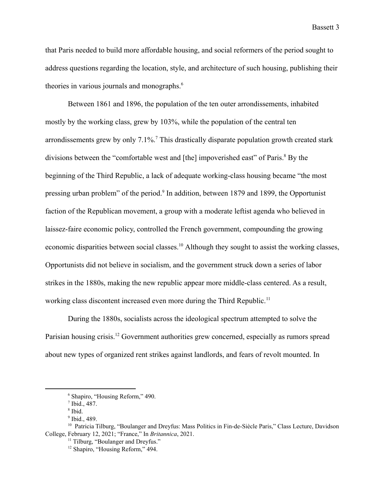that Paris needed to build more affordable housing, and social reformers of the period sought to address questions regarding the location, style, and architecture of such housing, publishing their theories in various journals and monographs.<sup>6</sup>

Between 1861 and 1896, the population of the ten outer arrondissements, inhabited mostly by the working class, grew by 103%, while the population of the central ten arrondissements grew by only  $7.1\%$ .<sup>7</sup> This drastically disparate population growth created stark divisions between the "comfortable west and [the] impoverished east" of Paris.<sup>8</sup> By the beginning of the Third Republic, a lack of adequate working-class housing became "the most pressing urban problem" of the period. $\degree$  In addition, between 1879 and 1899, the Opportunist faction of the Republican movement, a group with a moderate leftist agenda who believed in laissez-faire economic policy, controlled the French government, compounding the growing economic disparities between social classes.<sup>10</sup> Although they sought to assist the working classes, Opportunists did not believe in socialism, and the government struck down a series of labor strikes in the 1880s, making the new republic appear more middle-class centered. As a result, working class discontent increased even more during the Third Republic.<sup>11</sup>

During the 1880s, socialists across the ideological spectrum attempted to solve the Parisian housing crisis.<sup>12</sup> Government authorities grew concerned, especially as rumors spread about new types of organized rent strikes against landlords, and fears of revolt mounted. In

<sup>6</sup> Shapiro, "Housing Reform," 490.

 $7$  Ibid., 487.

<sup>8</sup> Ibid.

<sup>9</sup> Ibid., 489.

<sup>10</sup> Patricia Tilburg, "Boulanger and Dreyfus: Mass Politics in Fin-de-Siècle Paris," Class Lecture, Davidson College, February 12, 2021; "France," In *Britannica*, 2021.

<sup>&</sup>lt;sup>11</sup> Tilburg, "Boulanger and Dreyfus."

<sup>12</sup> Shapiro, "Housing Reform," 494.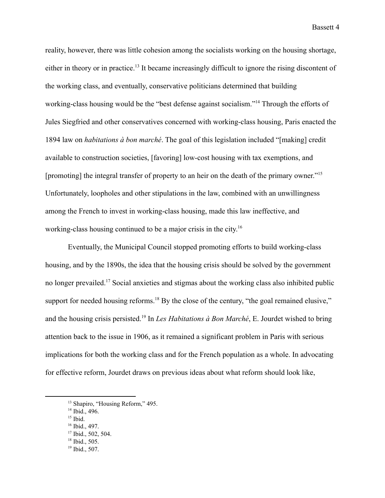reality, however, there was little cohesion among the socialists working on the housing shortage, either in theory or in practice.<sup>13</sup> It became increasingly difficult to ignore the rising discontent of the working class, and eventually, conservative politicians determined that building working-class housing would be the "best defense against socialism."<sup>14</sup> Through the efforts of Jules Siegfried and other conservatives concerned with working-class housing, Paris enacted the 1894 law on *habitations à bon marché*. The goal of this legislation included "[making] credit available to construction societies, [favoring] low-cost housing with tax exemptions, and [promoting] the integral transfer of property to an heir on the death of the primary owner."<sup>15</sup> Unfortunately, loopholes and other stipulations in the law, combined with an unwillingness among the French to invest in working-class housing, made this law ineffective, and working-class housing continued to be a major crisis in the city.<sup>16</sup>

Eventually, the Municipal Council stopped promoting efforts to build working-class housing, and by the 1890s, the idea that the housing crisis should be solved by the government no longer prevailed.<sup>17</sup> Social anxieties and stigmas about the working class also inhibited public support for needed housing reforms.<sup>18</sup> By the close of the century, "the goal remained elusive," and the housing crisis persisted.<sup>19</sup> In *Les Habitations à Bon Marché*, E. Jourdet wished to bring attention back to the issue in 1906, as it remained a significant problem in Paris with serious implications for both the working class and for the French population as a whole. In advocating for effective reform, Jourdet draws on previous ideas about what reform should look like,

- $15$  Ibid.
- <sup>16</sup> Ibid., 497.
- $18$  Ibid., 505. <sup>17</sup> Ibid., 502, 504.
- 
- <sup>19</sup> Ibid., 507.

<sup>&</sup>lt;sup>13</sup> Shapiro, "Housing Reform," 495.

<sup>&</sup>lt;sup>14</sup> Ibid., 496.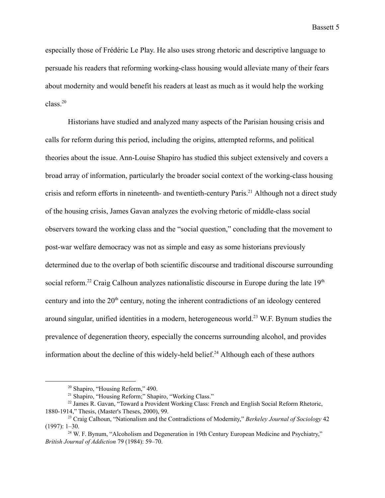especially those of Frédéric Le Play. He also uses strong rhetoric and descriptive language to persuade his readers that reforming working-class housing would alleviate many of their fears about modernity and would benefit his readers at least as much as it would help the working class.<sup>20</sup>

Historians have studied and analyzed many aspects of the Parisian housing crisis and calls for reform during this period, including the origins, attempted reforms, and political theories about the issue. Ann-Louise Shapiro has studied this subject extensively and covers a broad array of information, particularly the broader social context of the working-class housing crisis and reform efforts in nineteenth- and twentieth-century Paris.<sup>21</sup> Although not a direct study of the housing crisis, James Gavan analyzes the evolving rhetoric of middle-class social observers toward the working class and the "social question," concluding that the movement to post-war welfare democracy was not as simple and easy as some historians previously determined due to the overlap of both scientific discourse and traditional discourse surrounding social reform.<sup>22</sup> Craig Calhoun analyzes nationalistic discourse in Europe during the late  $19<sup>th</sup>$ century and into the 20<sup>th</sup> century, noting the inherent contradictions of an ideology centered around singular, unified identities in a modern, heterogeneous world.<sup>23</sup> W.F. Bynum studies the prevalence of degeneration theory, especially the concerns surrounding alcohol, and provides information about the decline of this widely-held belief.<sup>24</sup> Although each of these authors

<sup>20</sup> Shapiro, "Housing Reform," 490.

<sup>21</sup> Shapiro, "Housing Reform;" Shapiro, "Working Class."

<sup>&</sup>lt;sup>22</sup> James R. Gavan, "Toward a Provident Working Class: French and English Social Reform Rhetoric, 1880-1914," Thesis, (Master's Theses, 2000), 99.

<sup>23</sup> Craig Calhoun, "Nationalism and the Contradictions of Modernity," *Berkeley Journal of Sociology* 42 (1997): 1–30.

 $24$  W. F. Bynum, "Alcoholism and Degeneration in 19th Century European Medicine and Psychiatry," *British Journal of Addiction* 79 (1984): 59–70.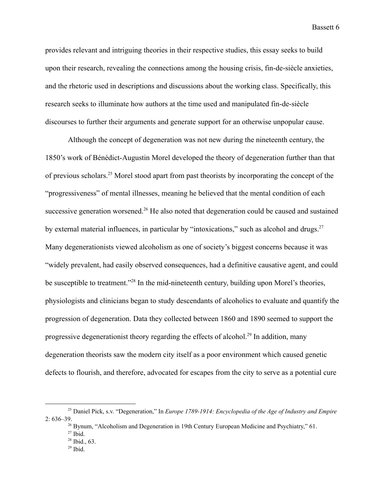provides relevant and intriguing theories in their respective studies, this essay seeks to build upon their research, revealing the connections among the housing crisis, fin-de-siècle anxieties, and the rhetoric used in descriptions and discussions about the working class. Specifically, this research seeks to illuminate how authors at the time used and manipulated fin-de-siècle discourses to further their arguments and generate support for an otherwise unpopular cause.

Although the concept of degeneration was not new during the nineteenth century, the 1850's work of Bénédict-Augustin Morel developed the theory of degeneration further than that of previous scholars.<sup>25</sup> Morel stood apart from past theorists by incorporating the concept of the "progressiveness" of mental illnesses, meaning he believed that the mental condition of each successive generation worsened.<sup>26</sup> He also noted that degeneration could be caused and sustained by external material influences, in particular by "intoxications," such as alcohol and drugs. $^{27}$ Many degenerationists viewed alcoholism as one of society's biggest concerns because it was "widely prevalent, had easily observed consequences, had a definitive causative agent, and could be susceptible to treatment."<sup>28</sup> In the mid-nineteenth century, building upon Morel's theories, physiologists and clinicians began to study descendants of alcoholics to evaluate and quantify the progression of degeneration. Data they collected between 1860 and 1890 seemed to support the progressive degenerationist theory regarding the effects of alcohol.<sup>29</sup> In addition, many degeneration theorists saw the modern city itself as a poor environment which caused genetic defects to flourish, and therefore, advocated for escapes from the city to serve as a potential cure

- $28$  Ibid., 63.
- $29$  Ibid.

<sup>25</sup> Daniel Pick, s.v. "Degeneration," In *Europe 1789-1914: Encyclopedia of the Age of Industry and Empire* 2: 636–39.

 $^{26}$  Bynum, "Alcoholism and Degeneration in 19th Century European Medicine and Psychiatry," 61.

 $27$  Ibid.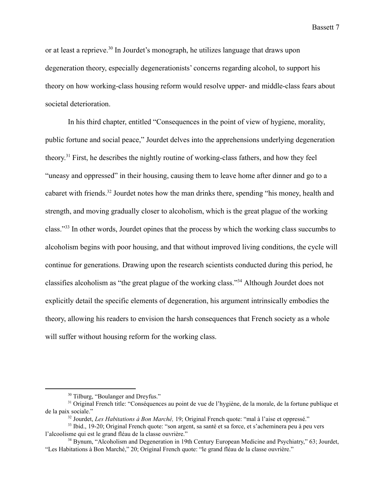or at least a reprieve.<sup>30</sup> In Jourdet's monograph, he utilizes language that draws upon degeneration theory, especially degenerationists' concerns regarding alcohol, to support his theory on how working-class housing reform would resolve upper- and middle-class fears about societal deterioration.

In his third chapter, entitled "Consequences in the point of view of hygiene, morality, public fortune and social peace," Jourdet delves into the apprehensions underlying degeneration theory.<sup>31</sup> First, he describes the nightly routine of working-class fathers, and how they feel "uneasy and oppressed" in their housing, causing them to leave home after dinner and go to a cabaret with friends.<sup>32</sup> Jourdet notes how the man drinks there, spending "his money, health and strength, and moving gradually closer to alcoholism, which is the great plague of the working class."<sup>33</sup> In other words, Jourdet opines that the process by which the working class succumbs to alcoholism begins with poor housing, and that without improved living conditions, the cycle will continue for generations. Drawing upon the research scientists conducted during this period, he classifies alcoholism as "the great plague of the working class."<sup>34</sup> Although Jourdet does not explicitly detail the specific elements of degeneration, his argument intrinsically embodies the theory, allowing his readers to envision the harsh consequences that French society as a whole will suffer without housing reform for the working class.

<sup>&</sup>lt;sup>30</sup> Tilburg, "Boulanger and Dreyfus."

<sup>&</sup>lt;sup>31</sup> Original French title: "Conséquences au point de vue de l'hygiène, de la morale, de la fortune publique et de la paix sociale."

<sup>32</sup> Jourdet, *Les Habitations à Bon Marché,* 19; Original French quote: "mal à l'aise et oppressé."

<sup>33</sup> Ibid., 19-20; Original French quote: "son argent, sa santé et sa force, et s'acheminera peu à peu vers l'alcoolisme qui est le grand fléau de la classe ouvrière."

<sup>&</sup>lt;sup>34</sup> Bynum, "Alcoholism and Degeneration in 19th Century European Medicine and Psychiatry," 63; Jourdet, "Les Habitations à Bon Marché," 20; Original French quote: "le grand fléau de la classe ouvrière."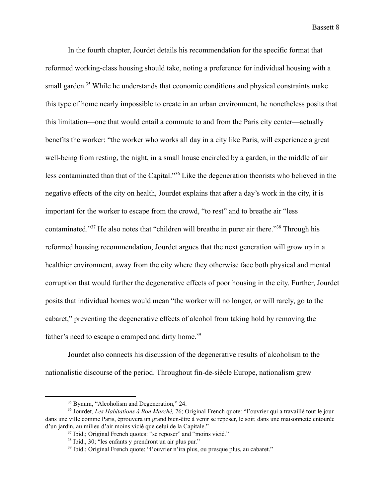In the fourth chapter, Jourdet details his recommendation for the specific format that reformed working-class housing should take, noting a preference for individual housing with a small garden.<sup>35</sup> While he understands that economic conditions and physical constraints make this type of home nearly impossible to create in an urban environment, he nonetheless posits that this limitation—one that would entail a commute to and from the Paris city center—actually benefits the worker: "the worker who works all day in a city like Paris, will experience a great well-being from resting, the night, in a small house encircled by a garden, in the middle of air less contaminated than that of the Capital."<sup>36</sup> Like the degeneration theorists who believed in the negative effects of the city on health, Jourdet explains that after a day's work in the city, it is important for the worker to escape from the crowd, "to rest" and to breathe air "less contaminated."<sup> $37$ </sup> He also notes that "children will breathe in purer air there."<sup> $38$ </sup> Through his reformed housing recommendation, Jourdet argues that the next generation will grow up in a healthier environment, away from the city where they otherwise face both physical and mental corruption that would further the degenerative effects of poor housing in the city. Further, Jourdet posits that individual homes would mean "the worker will no longer, or will rarely, go to the cabaret," preventing the degenerative effects of alcohol from taking hold by removing the father's need to escape a cramped and dirty home.<sup>39</sup>

Jourdet also connects his discussion of the degenerative results of alcoholism to the nationalistic discourse of the period. Throughout fin-de-siècle Europe, nationalism grew

<sup>&</sup>lt;sup>35</sup> Bynum, "Alcoholism and Degeneration," 24.

<sup>36</sup> Jourdet, *Les Habitations à Bon Marché,* 26; Original French quote: "l'ouvrier qui a travaillé tout le jour dans une ville comme Paris, éprouvera un grand bien-être à venir se reposer, le soir, dans une maisonnette entourée d'un jardin, au milieu d'air moins vicié que celui de la Capitale."

<sup>37</sup> Ibid.; Original French quotes: "se reposer" and "moins vicié."

<sup>38</sup> Ibid., 30; "les enfants y prendront un air plus pur."

<sup>39</sup> Ibid.; Original French quote: "l'ouvrier n'ira plus, ou presque plus, au cabaret."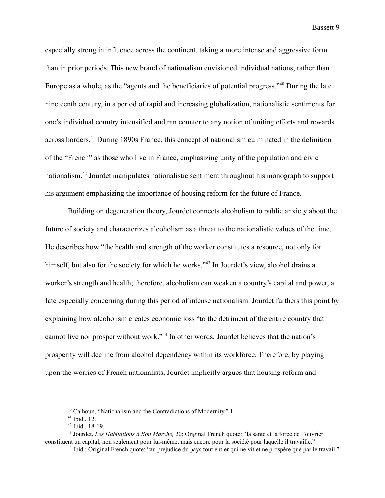especially strong in influence across the continent, taking a more intense and aggressive form than in prior periods. This new brand of nationalism envisioned individual nations, rather than Europe as a whole, as the "agents and the beneficiaries of potential progress." <sup>40</sup> During the late nineteenth century, in a period of rapid and increasing globalization, nationalistic sentiments for one's individual country intensified and ran counter to any notion of uniting efforts and rewards across borders.<sup> $41$ </sup> During 1890s France, this concept of nationalism culminated in the definition of the "French" as those who live in France, emphasizing unity of the population and civic nationalism.<sup>42</sup> Jourdet manipulates nationalistic sentiment throughout his monograph to support his argument emphasizing the importance of housing reform for the future of France.

Building on degeneration theory, Jourdet connects alcoholism to public anxiety about the future of society and characterizes alcoholism as a threat to the nationalistic values of the time. He describes how "the health and strength of the worker constitutes a resource, not only for himself, but also for the society for which he works."<sup>43</sup> In Jourdet's view, alcohol drains a worker's strength and health; therefore, alcoholism can weaken a country's capital and power, a fate especially concerning during this period of intense nationalism. Jourdet furthers this point by explaining how alcoholism creates economic loss "to the detriment of the entire country that cannot live nor prosper without work."<sup>44</sup> In other words, Jourdet believes that the nation's prosperity will decline from alcohol dependency within its workforce. Therefore, by playing upon the worries of French nationalists, Jourdet implicitly argues that housing reform and

<sup>40</sup> Calhoun, "Nationalism and the Contradictions of Modernity," 1.

 $41$  Ibid., 12.

 $42$  Ibid., 18-19.

<sup>43</sup> Jourdet, *Les Habitations à Bon Marché,* 20; Original French quote: "la santé et la force de l'ouvrier constituent un capital, non seulement pour lui-même, mais encore pour la société pour laquelle il travaille."

<sup>44</sup> Ibid.; Original French quote: "au préjudice du pays tout entier qui ne vit et ne prospère que par le travail."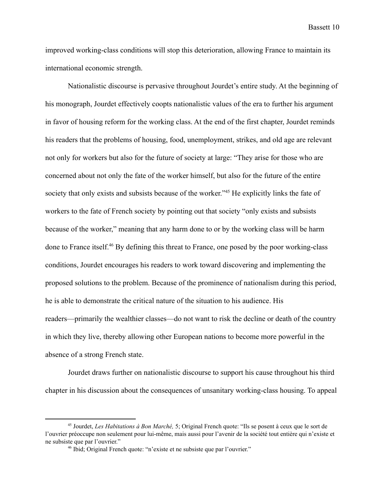improved working-class conditions will stop this deterioration, allowing France to maintain its international economic strength.

Nationalistic discourse is pervasive throughout Jourdet's entire study. At the beginning of his monograph, Jourdet effectively coopts nationalistic values of the era to further his argument in favor of housing reform for the working class. At the end of the first chapter, Jourdet reminds his readers that the problems of housing, food, unemployment, strikes, and old age are relevant not only for workers but also for the future of society at large: "They arise for those who are concerned about not only the fate of the worker himself, but also for the future of the entire society that only exists and subsists because of the worker.<sup>345</sup> He explicitly links the fate of workers to the fate of French society by pointing out that society "only exists and subsists because of the worker," meaning that any harm done to or by the working class will be harm done to France itself.<sup> $46$ </sup> By defining this threat to France, one posed by the poor working-class conditions, Jourdet encourages his readers to work toward discovering and implementing the proposed solutions to the problem. Because of the prominence of nationalism during this period, he is able to demonstrate the critical nature of the situation to his audience. His readers—primarily the wealthier classes—do not want to risk the decline or death of the country in which they live, thereby allowing other European nations to become more powerful in the absence of a strong French state.

Jourdet draws further on nationalistic discourse to support his cause throughout his third chapter in his discussion about the consequences of unsanitary working-class housing. To appeal

<sup>45</sup> Jourdet, *Les Habitations à Bon Marché,* 5; Original French quote: "Ils se posent à ceux que le sort de l'ouvrier préoccupe non seulement pour lui-même, mais aussi pour l'avenir de la société tout entière qui n'existe et ne subsiste que par l'ouvrier."

<sup>46</sup> Ibid; Original French quote: "n'existe et ne subsiste que par l'ouvrier."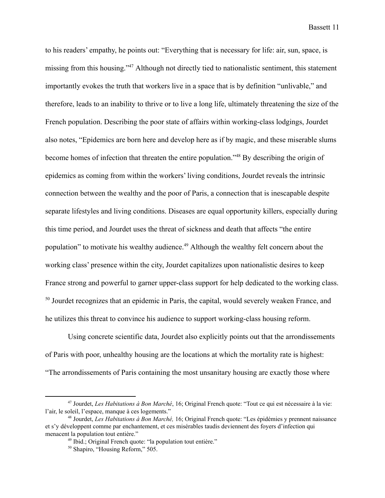to his readers' empathy, he points out: "Everything that is necessary for life: air, sun, space, is missing from this housing."<sup>47</sup> Although not directly tied to nationalistic sentiment, this statement importantly evokes the truth that workers live in a space that is by definition "unlivable," and therefore, leads to an inability to thrive or to live a long life, ultimately threatening the size of the French population. Describing the poor state of affairs within working-class lodgings, Jourdet also notes, "Epidemics are born here and develop here as if by magic, and these miserable slums become homes of infection that threaten the entire population."<sup>48</sup> By describing the origin of epidemics as coming from within the workers' living conditions, Jourdet reveals the intrinsic connection between the wealthy and the poor of Paris, a connection that is inescapable despite separate lifestyles and living conditions. Diseases are equal opportunity killers, especially during this time period, and Jourdet uses the threat of sickness and death that affects "the entire population" to motivate his wealthy audience.<sup> $49$ </sup> Although the wealthy felt concern about the working class' presence within the city, Jourdet capitalizes upon nationalistic desires to keep France strong and powerful to garner upper-class support for help dedicated to the working class.  $50$  Jourdet recognizes that an epidemic in Paris, the capital, would severely weaken France, and he utilizes this threat to convince his audience to support working-class housing reform.

Using concrete scientific data, Jourdet also explicitly points out that the arrondissements of Paris with poor, unhealthy housing are the locations at which the mortality rate is highest: "The arrondissements of Paris containing the most unsanitary housing are exactly those where

<sup>47</sup> Jourdet, *Les Habitations à Bon Marché*, 16; Original French quote: "Tout ce qui est nécessaire à la vie: l'air, le soleil, l'espace, manque à ces logements."

<sup>48</sup> Jourdet, *Les Habitations à Bon Marché,* 16; Original French quote: "Les épidémies y prennent naissance et s'y développent comme par enchantement, et ces misérables taudis deviennent des foyers d'infection qui menacent la population tout entière."

<sup>49</sup> Ibid.; Original French quote: "la population tout entière."

<sup>50</sup> Shapiro, "Housing Reform," 505.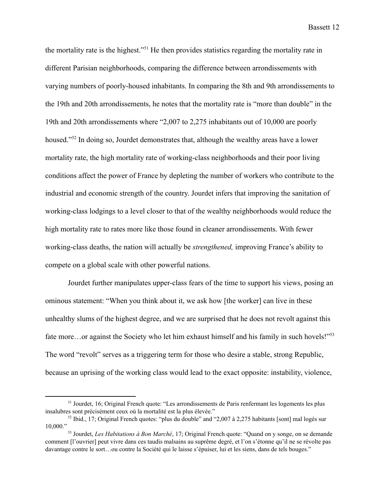the mortality rate is the highest."<sup>51</sup> He then provides statistics regarding the mortality rate in different Parisian neighborhoods, comparing the difference between arrondissements with varying numbers of poorly-housed inhabitants. In comparing the 8th and 9th arrondissements to the 19th and 20th arrondissements, he notes that the mortality rate is "more than double" in the 19th and 20th arrondissements where "2,007 to 2,275 inhabitants out of 10,000 are poorly housed."<sup>52</sup> In doing so, Jourdet demonstrates that, although the wealthy areas have a lower mortality rate, the high mortality rate of working-class neighborhoods and their poor living conditions affect the power of France by depleting the number of workers who contribute to the industrial and economic strength of the country. Jourdet infers that improving the sanitation of working-class lodgings to a level closer to that of the wealthy neighborhoods would reduce the high mortality rate to rates more like those found in cleaner arrondissements. With fewer working-class deaths, the nation will actually be *strengthened,* improving France's ability to compete on a global scale with other powerful nations.

Jourdet further manipulates upper-class fears of the time to support his views, posing an ominous statement: "When you think about it, we ask how [the worker] can live in these unhealthy slums of the highest degree, and we are surprised that he does not revolt against this fate more…or against the Society who let him exhaust himself and his family in such hovels!"<sup>53</sup> The word "revolt" serves as a triggering term for those who desire a stable, strong Republic, because an uprising of the working class would lead to the exact opposite: instability, violence,

<sup>&</sup>lt;sup>51</sup> Jourdet, 16; Original French quote: "Les arrondissements de Paris renfermant les logements les plus insalubres sont précisément ceux où la mortalité est la plus élevée."

 $52$  Ibid., 17; Original French quotes: "plus du double" and "2,007 à 2,275 habitants [sont] mal logés sur 10,000."

<sup>53</sup> Jourdet, *Les Habitations à Bon Marché*, 17; Original French quote: "Quand on y songe, on se demande comment [l'ouvrier] peut vivre dans ces taudis malsains au suprême degré, et l'on s'étonne qu'il ne se révolte pas davantage contre le sort…ou contre la Société qui le laisse s'épuiser, lui et les siens, dans de tels bouges."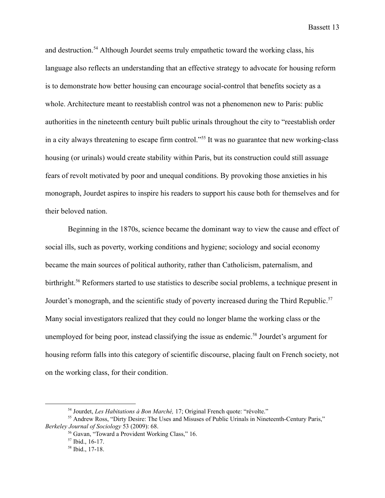and destruction.<sup>54</sup> Although Jourdet seems truly empathetic toward the working class, his language also reflects an understanding that an effective strategy to advocate for housing reform is to demonstrate how better housing can encourage social-control that benefits society as a whole. Architecture meant to reestablish control was not a phenomenon new to Paris: public authorities in the nineteenth century built public urinals throughout the city to "reestablish order in a city always threatening to escape firm control."<sup>55</sup> It was no guarantee that new working-class housing (or urinals) would create stability within Paris, but its construction could still assuage fears of revolt motivated by poor and unequal conditions. By provoking those anxieties in his monograph, Jourdet aspires to inspire his readers to support his cause both for themselves and for their beloved nation.

Beginning in the 1870s, science became the dominant way to view the cause and effect of social ills, such as poverty, working conditions and hygiene; sociology and social economy became the main sources of political authority, rather than Catholicism, paternalism, and birthright.<sup>56</sup> Reformers started to use statistics to describe social problems, a technique present in Jourdet's monograph, and the scientific study of poverty increased during the Third Republic.<sup>57</sup> Many social investigators realized that they could no longer blame the working class or the unemployed for being poor, instead classifying the issue as endemic.<sup>58</sup> Jourdet's argument for housing reform falls into this category of scientific discourse, placing fault on French society, not on the working class, for their condition.

<sup>54</sup> Jourdet, *Les Habitations à Bon Marché,* 17; Original French quote: "révolte."

<sup>&</sup>lt;sup>55</sup> Andrew Ross, "Dirty Desire: The Uses and Misuses of Public Urinals in Nineteenth-Century Paris," *Berkeley Journal of Sociology* 53 (2009): 68.

<sup>56</sup> Gavan, "Toward a Provident Working Class," 16.

 $57$  Ibid., 16-17.

<sup>58</sup> Ibid., 17-18.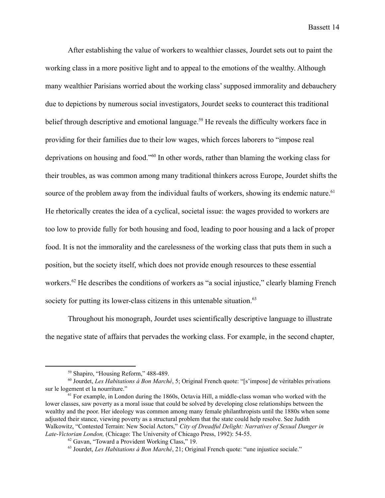After establishing the value of workers to wealthier classes, Jourdet sets out to paint the working class in a more positive light and to appeal to the emotions of the wealthy. Although many wealthier Parisians worried about the working class' supposed immorality and debauchery due to depictions by numerous social investigators, Jourdet seeks to counteract this traditional belief through descriptive and emotional language.<sup>59</sup> He reveals the difficulty workers face in providing for their families due to their low wages, which forces laborers to "impose real deprivations on housing and food."<sup>60</sup> In other words, rather than blaming the working class for their troubles, as was common among many traditional thinkers across Europe, Jourdet shifts the source of the problem away from the individual faults of workers, showing its endemic nature.<sup>61</sup> He rhetorically creates the idea of a cyclical, societal issue: the wages provided to workers are too low to provide fully for both housing and food, leading to poor housing and a lack of proper food. It is not the immorality and the carelessness of the working class that puts them in such a position, but the society itself, which does not provide enough resources to these essential workers.  $62$  He describes the conditions of workers as "a social injustice," clearly blaming French society for putting its lower-class citizens in this untenable situation.<sup>63</sup>

Throughout his monograph, Jourdet uses scientifically descriptive language to illustrate the negative state of affairs that pervades the working class. For example, in the second chapter,

<sup>59</sup> Shapiro, "Housing Reform," 488-489.

<sup>60</sup> Jourdet, *Les Habitations à Bon Marché*, 5; Original French quote: "[s'impose] de véritables privations sur le logement et la nourriture."

<sup>&</sup>lt;sup>61</sup> For example, in London during the 1860s, Octavia Hill, a middle-class woman who worked with the lower classes, saw poverty as a moral issue that could be solved by developing close relationships between the wealthy and the poor. Her ideology was common among many female philanthropists until the 1880s when some adjusted their stance, viewing poverty as a structural problem that the state could help resolve. See Judith Walkowitz, "Contested Terrain: New Social Actors," *City of Dreadful Delight: Narratives of Sexual Danger in Late-Victorian London,* (Chicago: The University of Chicago Press, 1992): 54-55.

<sup>62</sup> Gavan, "Toward a Provident Working Class," 19.

<sup>63</sup> Jourdet, *Les Habitations à Bon Marché*, 21; Original French quote: "une injustice sociale."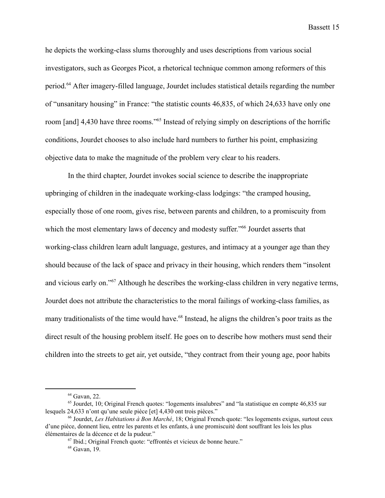he depicts the working-class slums thoroughly and uses descriptions from various social investigators, such as Georges Picot, a rhetorical technique common among reformers of this period.<sup>64</sup> After imagery-filled language, Jourdet includes statistical details regarding the number of "unsanitary housing" in France: "the statistic counts 46,835, of which 24,633 have only one room [and] 4,430 have three rooms."<sup>65</sup> Instead of relying simply on descriptions of the horrific conditions, Jourdet chooses to also include hard numbers to further his point, emphasizing objective data to make the magnitude of the problem very clear to his readers.

In the third chapter, Jourdet invokes social science to describe the inappropriate upbringing of children in the inadequate working-class lodgings: "the cramped housing, especially those of one room, gives rise, between parents and children, to a promiscuity from which the most elementary laws of decency and modesty suffer.<sup>766</sup> Jourdet asserts that working-class children learn adult language, gestures, and intimacy at a younger age than they should because of the lack of space and privacy in their housing, which renders them "insolent and vicious early on."<sup>67</sup> Although he describes the working-class children in very negative terms, Jourdet does not attribute the characteristics to the moral failings of working-class families, as many traditionalists of the time would have.<sup>68</sup> Instead, he aligns the children's poor traits as the direct result of the housing problem itself. He goes on to describe how mothers must send their children into the streets to get air, yet outside, "they contract from their young age, poor habits

<sup>64</sup> Gavan, 22.

<sup>&</sup>lt;sup>65</sup> Jourdet, 10; Original French quotes: "logements insalubres" and "la statistique en compte 46,835 sur lesquels 24,633 n'ont qu'une seule pièce [et] 4,430 ont trois pièces."

<sup>66</sup> Jourdet, *Les Habitations à Bon Marché*, 18; Original French quote: "les logements exigus, surtout ceux d'une pièce, donnent lieu, entre les parents et les enfants, à une promiscuité dont souffrant les lois les plus élémentaires de la décence et de la pudeur."

 $67$  Ibid.; Original French quote: "effrontés et vicieux de bonne heure."

<sup>68</sup> Gavan, 19.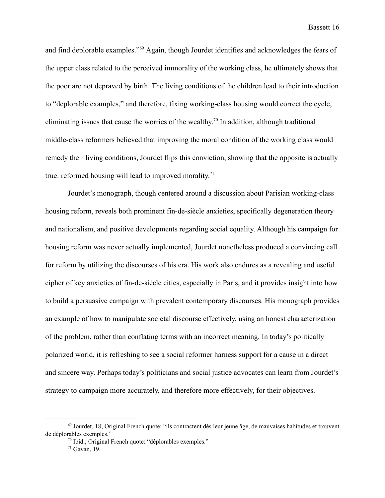and find deplorable examples."<sup>69</sup> Again, though Jourdet identifies and acknowledges the fears of the upper class related to the perceived immorality of the working class, he ultimately shows that the poor are not depraved by birth. The living conditions of the children lead to their introduction to "deplorable examples," and therefore, fixing working-class housing would correct the cycle, eliminating issues that cause the worries of the wealthy.<sup>70</sup> In addition, although traditional middle-class reformers believed that improving the moral condition of the working class would remedy their living conditions, Jourdet flips this conviction, showing that the opposite is actually true: reformed housing will lead to improved morality. $71$ 

Jourdet's monograph, though centered around a discussion about Parisian working-class housing reform, reveals both prominent fin-de-siècle anxieties, specifically degeneration theory and nationalism, and positive developments regarding social equality. Although his campaign for housing reform was never actually implemented, Jourdet nonetheless produced a convincing call for reform by utilizing the discourses of his era. His work also endures as a revealing and useful cipher of key anxieties of fin-de-siècle cities, especially in Paris, and it provides insight into how to build a persuasive campaign with prevalent contemporary discourses. His monograph provides an example of how to manipulate societal discourse effectively, using an honest characterization of the problem, rather than conflating terms with an incorrect meaning. In today's politically polarized world, it is refreshing to see a social reformer harness support for a cause in a direct and sincere way. Perhaps today's politicians and social justice advocates can learn from Jourdet's strategy to campaign more accurately, and therefore more effectively, for their objectives.

<sup>69</sup> Jourdet, 18; Original French quote: "ils contractent dès leur jeune âge, de mauvaises habitudes et trouvent de déplorables exemples."

<sup>70</sup> Ibid.; Original French quote: "déplorables exemples."

 $71$  Gavan, 19.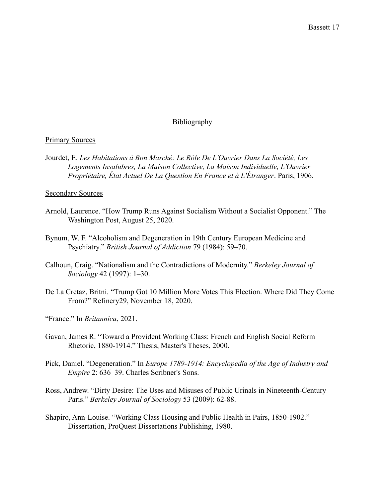## Bibliography

## Primary Sources

Jourdet, E. *Les Habitations à Bon Marché: Le Rôle De L'Ouvrier Dans La Société, Les Logements Insalubres, La Maison Collective, La Maison Individuelle, L'Ouvrier Propriétaire, État Actuel De La Question En France et à L'Étranger*. Paris, 1906.

## Secondary Sources

- Arnold, Laurence. "How Trump Runs Against Socialism Without a Socialist Opponent." The Washington Post, August 25, 2020.
- Bynum, W. F. "Alcoholism and Degeneration in 19th Century European Medicine and Psychiatry." *British Journal of Addiction* 79 (1984): 59–70.
- Calhoun, Craig. "Nationalism and the Contradictions of Modernity." *Berkeley Journal of Sociology* 42 (1997): 1–30.
- De La Cretaz, Britni. "Trump Got 10 Million More Votes This Election. Where Did They Come From?" Refinery29, November 18, 2020.
- "France." In *Britannica*, 2021.
- Gavan, James R. "Toward a Provident Working Class: French and English Social Reform Rhetoric, 1880-1914." Thesis, Master's Theses, 2000.
- Pick, Daniel. "Degeneration." In *Europe 1789-1914: Encyclopedia of the Age of Industry and Empire* 2: 636–39. Charles Scribner's Sons.
- Ross, Andrew. "Dirty Desire: The Uses and Misuses of Public Urinals in Nineteenth-Century Paris." *Berkeley Journal of Sociology* 53 (2009): 62-88.
- Shapiro, Ann-Louise. "Working Class Housing and Public Health in Pairs, 1850-1902." Dissertation, ProQuest Dissertations Publishing, 1980.